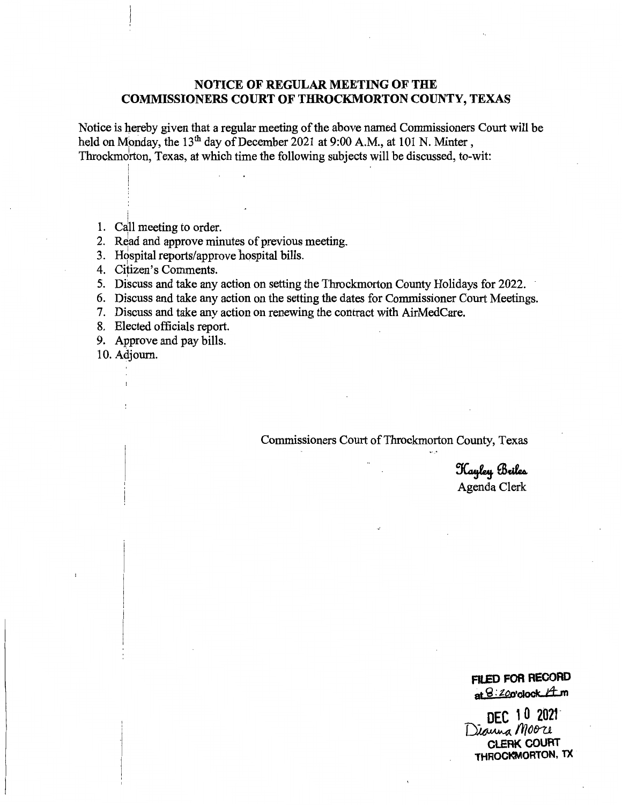# **NOTICE OF REGULAR MEETING OF THE COMMISSIONERS COURT OF THROCKMORTON COUNTY, TEXAS**

Notice is hereby given that a regular meeting of the above named Commissioners Court will be held on Monday, the 13<sup>th</sup> day of December 2021 at 9:00 A.M., at 101 N. Minter, Throckmdrton, Texas, at which time the following subjects will be discussed, to-wit:

i 1. Call meeting to order.

2. Read and approve minutes of previous meeting.

- 3. Hospital reports/approve hospital bills.
- 4. Citizen's Comments.
- 5. Discuss and take any action on setting the Throckmorton County Holidays for 2022.
- 6. Discuss and take any action on the setting the dates for Commissioner Court Meetings.
- 7. Discuss and take any action on renewing the contract with AirMedCare.
- 8. Elected officials report.
- 9. Approve and pay bills.

10. Adjourn.

!

Commissioners Court of Throckmorton County, Texas

Hayley Briles Agenda Clerk

# **FILED FOR RECORD**  at  $8:20$ o**·clock**  $#m$

DEC 10 2021 **DEC 10 2021-** Dianna Moore **CLERK COURT THROCl<MORTON, TX**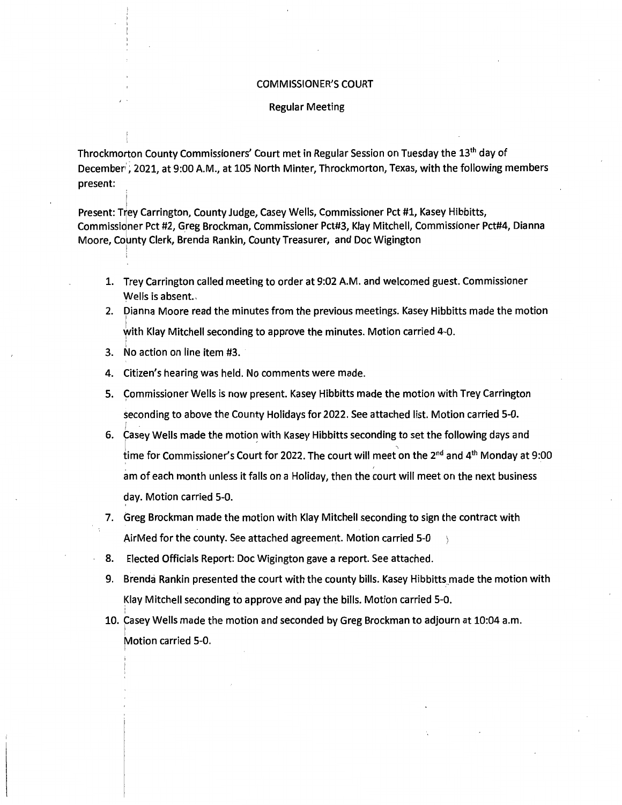#### COMMISSIONER'S COURT

#### Regular Meeting

Throckmorton County Commissioners' Court met in Regular Session on Tuesday the 13<sup>th</sup> day of December"; 2021, at 9:00 A.M., at 105 North Minter, Throckmorton, Texas, with the following members present: .

Present: Trey Carrington, County Judge, Casey Wells, Commissioner Pct #1, Kasey Hibbitts, Commissioner Pct #2, Greg Brockman, Commissioner Pct#3, Klay Mitchell, Commissioner Pct#4, Dianna Moore, County Clerk, Brenda Rankin, County Treasurer, and Doc Wigington !

- 1. Trey Carrington called meeting to order at 9:02 A.M. and welcomed guest. Commissioner Wells is absent.
- 2. Dianna Moore read the minutes from the previous meetings. Kasey Hibbitts made the motion I with Klay Mitchell seconding to approve the minutes. Motion carried 4-0.
- i 3. No action on line item #3.
- 4. Citizen's hearing was held. No comments were made.
- 5. Commissioner Wells is now present. Kasey Hibbitts made the motion with Trey Carrington seconding to above the County Holidays for 2022. See attached list. Motion carried 5-0.
- 6. Casey Wells made the motion with Kasey Hibbitts seconding to set the following days and time for Commissioner's Court for 2022. The court will meet on the 2<sup>nd</sup> and 4<sup>th</sup> Monday at 9:00 am of each month unless it falls on a Holiday, then the court will meet on the next business day. Motion carried 5-0.
- 7. Greg Brockman made the motion with Klay Mitchell seconding to sign the contract with AirMed for the county. See attached agreement. Motion carried 5-0
- 8. Elected Officials Report: Doc Wigington gave a report. See attached.
- 9. Brenda Rankin presented the court with the county bills. Kasey Hibbitts made the motion with Klay Mitchell seconding to approve and pay the bills. Motion carried 5-0.
- ' 10. Casey Wells made the motion and seconded by Greg Brockman to adjourn at 10:04 a.m. **Motion carried 5-0.** I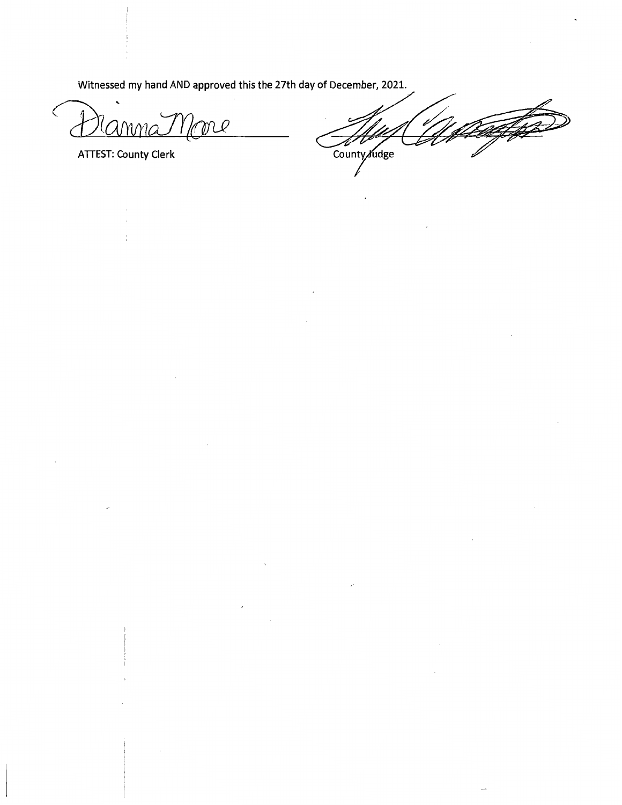Witnessed my hand AND approved this the 27th day of December, 2021.

C U "CUMMA

**ATTEST: County Clerk** 

County Judge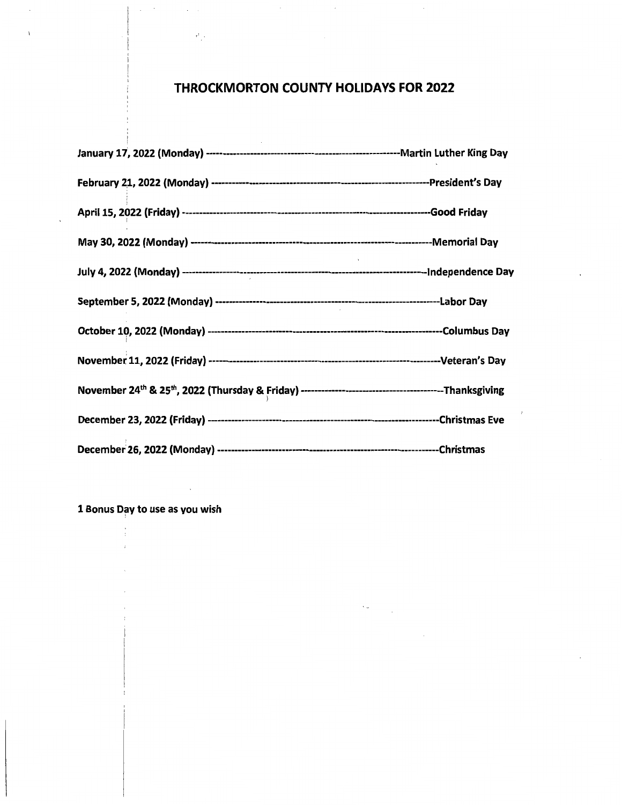# **THROCKMORTON COUNTY HOLIDAYS FOR 2022**

 $\bar{z}$ 

1 Bonus Day to use as you wish

 $\ddot{\phantom{a}}$ 

 $\sim$ 

 $\mathcal{L}$ 

 $\sim 10^{-1}$  .

 $\epsilon^t$  .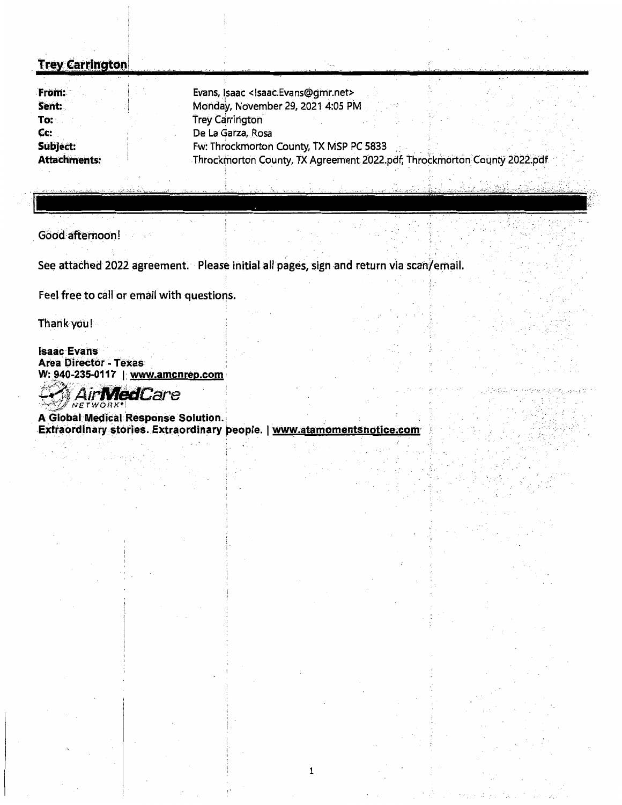# **Trey Carrington**

| From:               | Evans, Isaac <isaac.evans@gmr.net></isaac.evans@gmr.net>                 |  |  |  |  |
|---------------------|--------------------------------------------------------------------------|--|--|--|--|
| Sent:               | Monday, November 29, 2021 4:05 PM                                        |  |  |  |  |
| To:                 | <b>Trey Carrington</b>                                                   |  |  |  |  |
| Cc:                 | De La Garza, Rosa                                                        |  |  |  |  |
| Subject:            | Fw: Throckmorton County, TX MSP PC 5833                                  |  |  |  |  |
| <b>Attachments:</b> | Throckmorton County, TX Agreement 2022.pdf; Throckmorton County 2022.pdf |  |  |  |  |

Good-afternoon!

See attached 2022 agreement. · Please initial all pages, sign and return via scan/email.

Feel free to call or email with questions.

 $\mathcal{L}_{\mathcal{A}}$ 

thank you!

**Isaac** Evans **Area Director - Texas** W: 940-235-0117 | www.amcnrep.com

**MedCare**  $WFTWORR$ 

A Global Medical Response Solution. Extraordinary stories. Extraordinary people. | www.atamomentsnotice.com

Ŵ

1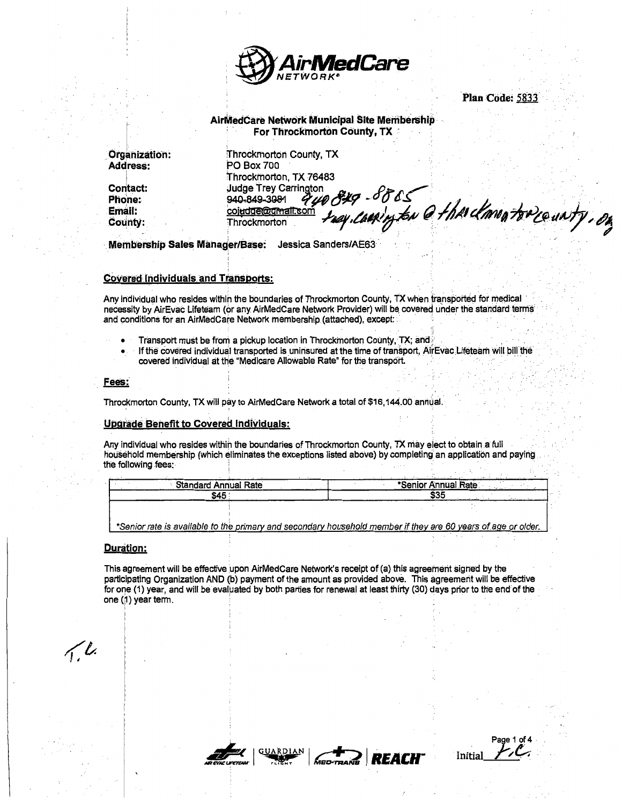

Plan Code: 5833

AirMedCare Network Municipal Site Membership For Throckmorton County, TX

**Organization: Address:** 

**Contact:** Phone: Email: County:

**Throckmorton County, TX PO Box 700** Throckmorton, TX 76483 **Judge Trey Carrington** que 829 - 88 cs<br>cm suy.caning ton @ the clane torre unty, on 940-849-3081 coindge@gmail Throckmortor

Membership Sales Manager/Base: Jessica Sanders/AE63

#### **Covered Individuals and Transports:**

Any individual who resides within the boundaries of Throckmorton County. TX when transported for medical necessity by AirEvac Lifeteam (or any AirMedCare Network Provider) will be covered under the standard terms and conditions for an AirMedCare Network membership (attached), except:

- Transport must be from a pickup location in Throckmorton County, TX; and  $\bullet$
- If the covered individual transported is uninsured at the time of transport, AirEvac Lifeteam will bill the covered individual at the "Medicare Allowable Rate" for the transport.

#### Fees:

Throckmorton County, TX will pay to AirMedCare Network a total of \$16,144.00 annual.

#### **Upgrade Benefit to Covered Individuals:**

Any individual who resides within the boundaries of Throckmorton County, TX may elect to obtain a full household membership (which eliminates the exceptions listed above) by completing an application and paying the following fees.

| <b>Standard Annual Rate</b> | *Senior Annual Rate |
|-----------------------------|---------------------|
| \$45                        | \$35                |
|                             |                     |

\*Senior rate is available to the primary and secondary household member if they are 60 years of age or older

#### **Duration:**

This agreement will be effective upon AirMedCare Network's receipt of (a) this agreement signed by the participating Organization AND (b) payment of the amount as provided above. This agreement will be effective for one (1) year, and will be evaluated by both parties for renewal at least thirty (30) days prior to the end of the one (1) year term.

 $\sqrt{l}$ 



REACH

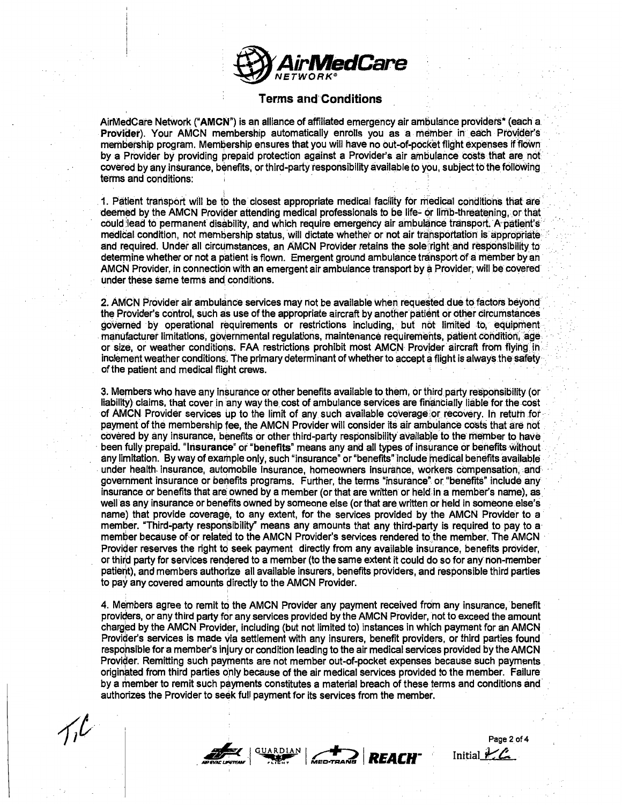

### Terms and'Conditions

AirMedCare Network ("AMCN") is an alliance of affiliated emergency air ambulance providers\* (each a. Provider). Your AMCN membership automatically enrolls you as a member in each Provider's membership program. Membership ensures that you will have no out-of-pocket flight expenses if flown by a Provider by providing prepaid protection against a Provider's air ambulance costs that are not covered by any insurance, benefits, or third-party responsibility available to you, subject to the following terms and conditions:

1. Patient transport will be to the closest appropriate medical facility for medical conditions that are deemed by the AMCN Provider attending medical professionals to be life- or limb-threatening, or that could lead to permanent disability, and which require emergency air ambulance transport. A patient's medical condition, not membership status, wiil dictate whether or not air tratisportatiori is appropriate and required. Under all circumstances, an AMCN Provider retains the sole right and responsibility to determine whether or not a patient is flown. Emergent ground ambulance transport of a member by an AMCN Provider, in connection with an emergent air ambulance transport by a Provider; will be coveted under these same terms and conditions. ·

2. AMCN Provider air ambulance services may not be available when requested due to factors beyond the Provider's control, such as use of the appropriate aircraft by another patient or other circumstances governed by operational requirements or restrictions including, but not limited to, equipment manufacturer limitations, governmental regulations, maintenance requirements, patient condition, age. or size, or weather conditions. FAA restrictions prohibit most AMCN Provjder aircraft from flying in· inclement weather conditions. The primary determinant of whether to accept a flight is always the safety · of the patient and medical flight crews.

3. Members who have any insurance or other benefits available to them, or third party responsibility (or liability) claims, that cover in any way the cost of ambulance services are financially liable for the cost of AMCN Provider services up to the limit of any such available coverage or recovery. In return for payment of the membership fee, the AMCN Provider will consider its air ambulance costs that are not covered by any insurance, benefits or other third-party responsibility available to the member to have been fully prepaid. "Insurance" or "benefits" means any and all types of insurance or benefits without any limitation. By way of example only, such "insurance" or "benefits" include medical benefits available . under health insurance, automobile insurance, homeowners insurance, workers compensation, and government insurance or benefits programs. Further, the terms "insurance" or "benefits" include any insurance or benefits that are owned by a member (or that are written or held in a member's name), as well as any insurance or benefits owned by someone else (or that are written or held in someone else's name) that provide coverage, to any extent, for the services provided by the AMCN Provider to a member. "Third-party responsibility" means any amounts that any third-party is required to pay to a member because of or related to the AMCN Provider's services rendered to the member. The AMCN Provider reserves the right to seek payment directly from any available insurance, benefits provider, or third party for services rendered to a member (to the same extent it could do so for any non-member patieht), and members authorize all available insurers, benefits providers, and responsible third parties to pay any covered amounts directly to the AMCN Provider.

4. Members agree to remit to the AMCN Provider any payment received from any insurance, benefit providers, or any third party for any services provided by the AMCN Provider, not to exceed the amount charged by the AMCN Provider, including (but not limited to) instances in which payment for an AMCN Provider's services is made via settlement with any insurers, benefit providers, or third parties found respohsible fora member's injury or condition leading to the air medical services provided by the AMCN Provider. Remitting such payments are not member out-of-pocket expenses because such payments originated from third parties only because of the air medical services provided to the member. Failure by a member to remit such payments constitutes a material breach of these terms and conditions and authorizes the Provider to seek full payment for its services from the member.



Page 2 of 4 Initial  $k\mathcal{L}$ .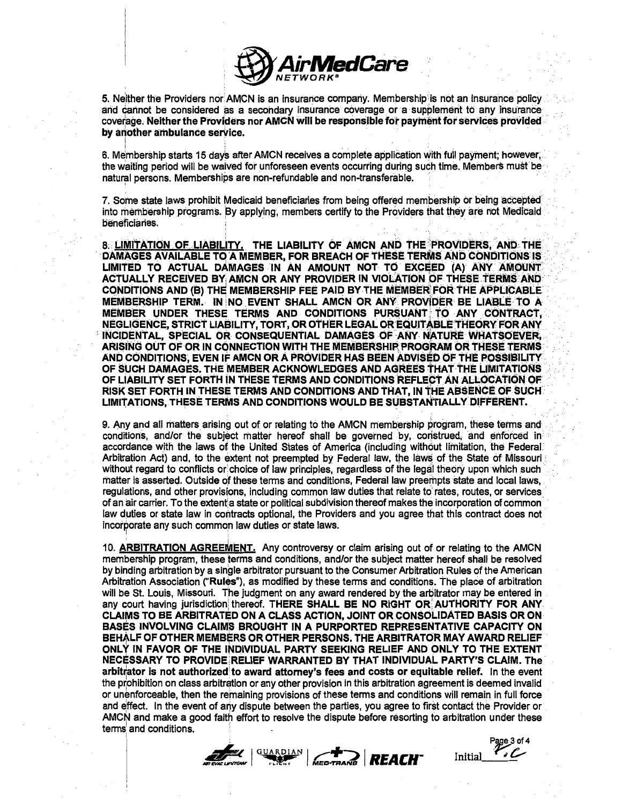

5. Neither the Providers nor AMCN is an insurance company. Membership is not an insurance policy and cannot be considered as a secondary insurance coverage or a supplement to any insurance coverage. Neither the Providers nor AMCN will be responsible for payment for services provided by another ambulance service.

6. Membership starts 15 days after AMCN receives a complete application with full payment; however, the waiting period will be waived for unforeseen events occurring during such time. Members must be natural persons. Memberships are non-refundable and non-transferable.

7. Some state laws prohibit Medicaid beneficiaries from being offered membership or being accepted into membership programs. By applying, members certify to the Providers that they are not Medicaid beneficianes.

8. LIMITATION OF LIABILITY. THE LIABILITY OF AMCN AND THE PROVIDERS, AND THE DAMAGES AVAILABLE TO A MEMBER, FOR BREACH OF THESE TERMS AND CONDITIONS IS LIMITED TO ACTUAL DAMAGES IN AN AMOUNT NOT TO EXCEED (A) ANY AMOUNT ACTUALLY RECEIVED BY AMCN OR ANY PROVIDER IN VIOLATION OF THESE TERMS AND CONDITIONS AND (B) THE MEMBERSHIP FEE PAID BY THE MEMBER FOR THE APPLICABLE MEMBERSHIP TERM. IN NO EVENT SHALL AMCN OR ANY PROVIDER BE LIABLE TO A MEMBER UNDER THESE TERMS AND CONDITIONS PURSUANT TO ANY CONTRACT, NEGLIGENCE, STRICT LIABILITY, TORT, OR OTHER LEGAL OR EQUITABLE THEORY FOR ANY INCIDENTAL, SPECIAL OR CONSEQUENTIAL DAMAGES OF ANY NATURE WHATSOEVER, ARISING OUT OF OR IN CONNECTION WITH THE MEMBERSHIP PROGRAM OR THESE TERMS AND CONDITIONS, EVEN IF AMON OR A PROVIDER HAS BEEN ADVISED OF THE POSSIBILITY OF SUCH DAMAGES. THE MEMBER ACKNOWLEDGES AND AGREES THAT THE LIMITATIONS OF LIABILITY SET FORTH IN THESE TERMS AND CONDITIONS REFLECT AN ALLOCATION OF RISK SET FORTH IN THESE TERMS AND CONDITIONS AND THAT, IN THE ABSENCE OF SUCH LIMITATIONS, THESE TERMS AND CONDITIONS WOULD BE SUBSTANTIALLY DIFFERENT.

9. Any and all matters arising out of or relating to the AMCN membership program, these terms and conditions, and/or the subject matter hereof shall be governed by, construed, and enforced in accordance with the laws of the United States of America (including without limitation, the Federal Arbitration Act) and, to the extent not preempted by Federal law, the laws of the State of Missouri without regard to conflicts or choice of law principles, regardless of the legal theory upon which such matter is asserted. Outside of these terms and conditions, Federal law preempts state and local laws, requiations, and other provisions, including common law duties that relate to rates, routes, or services of an air carrier. To the extent a state or political subdivision thereof makes the incorporation of common law duties or state law in contracts optional, the Providers and you agree that this contract does not incorporate any such common law duties or state laws.

10. ARBITRATION AGREEMENT. Any controversy or claim arising out of or relating to the AMCN membership program, these terms and conditions, and/or the subject matter hereof shall be resolved by binding arbitration by a single arbitrator pursuant to the Consumer Arbitration Rules of the American Arbitration Association ("Rules"), as modified by these terms and conditions. The place of arbitration will be St. Louis, Missouri. The judgment on any award rendered by the arbitrator may be entered in any court having jurisdiction thereof. THERE SHALL BE NO RIGHT OR AUTHORITY FOR ANY CLAIMS TO BE ARBITRATED ON A CLASS ACTION, JOINT OR CONSOLIDATED BASIS OR ON BASES INVOLVING CLAIMS BROUGHT IN A PURPORTED REPRESENTATIVE CAPACITY ON BEHALF OF OTHER MEMBERS OR OTHER PERSONS. THE ARBITRATOR MAY AWARD RELIEF ONLY IN FAVOR OF THE INDIVIDUAL PARTY SEEKING RELIEF AND ONLY TO THE EXTENT NECESSARY TO PROVIDE RELIEF WARRANTED BY THAT INDIVIDUAL PARTY'S CLAIM. The arbitrator is not authorized to award attorney's fees and costs or equitable relief. In the event the prohibition on class arbitration or any other provision in this arbitration agreement is deemed invalid or unenforceable, then the remaining provisions of these terms and conditions will remain in full force and effect. In the event of any dispute between the parties, you agree to first contact the Provider or AMCN and make a good faith effort to resolve the dispute before resorting to arbitration under these terms and conditions.



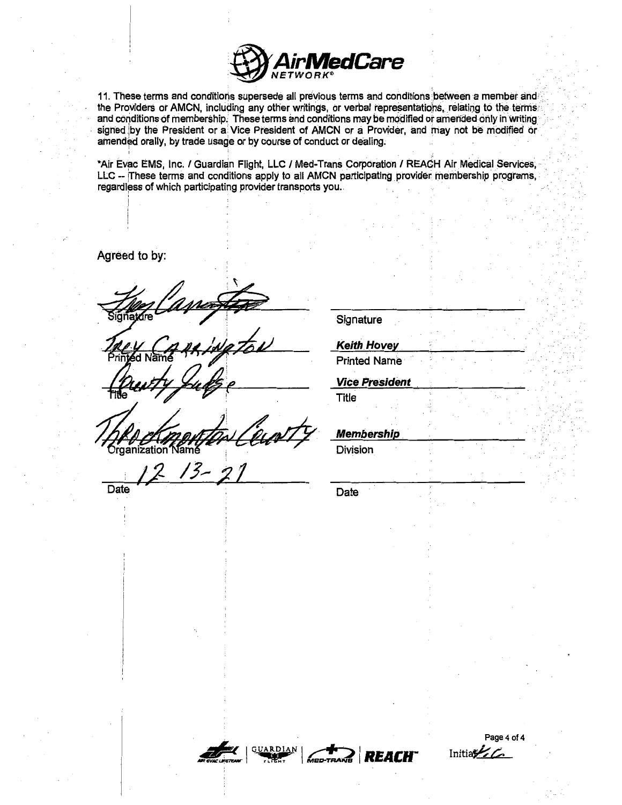

11. These terms and conditions supersede all previous terms and conditions between a member and the Providers or AMCN, including any other writings, or verbal representations, relating to the terms. and conditions of membership. These terms and conditions may be modified or amended only in writing signed by the President or a Vice President of AMCN or a Provider, and may not be modified or amended orally, by trade usage or by course of conduct or dealing.

\*Air Evac EMS, Inc. / Guardian Flight, LLC / Med-Trans Corporation / REACH Air Medical Services, LLC -- These terms and conditions apply to all AMCN participating provider membership programs, regardless of which participating provider transports you.

Agreed to by:

ization

Date

Signature

**Keith Hovey** 

**Printed Name** 

**Vice President** 

**Title** 

**Membership** 

Division

Date





Page 4 of 4 Initial  $\mathcal{L}$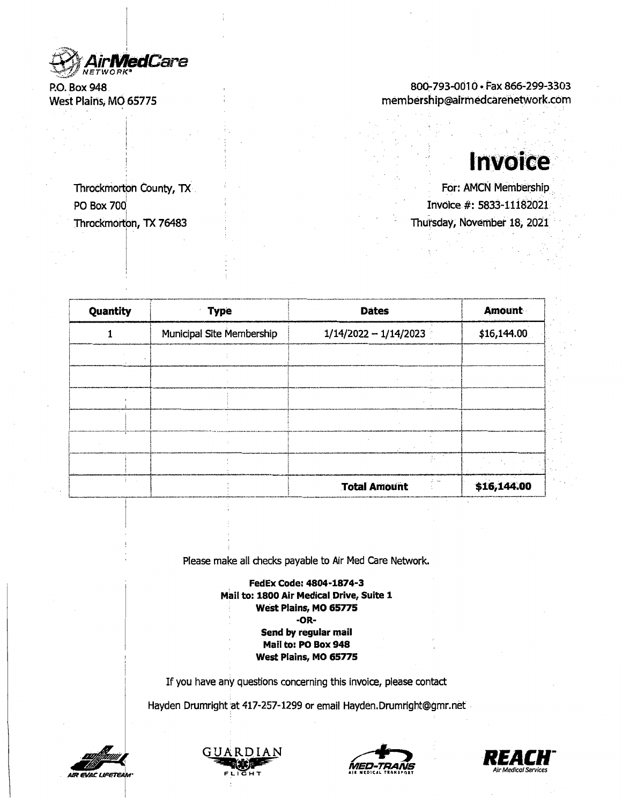I **·AirMetlCare**  NETWORK~

P.O. Box 948. West Plains; MO 65775

PO Box 700

Throckmorton, TX 76483

I

# 800-793-0010 · Fax 866-299-3303 membership@airrnedcarehetwork.com

# **lnvoice**

Throckmorton County, TX **I Formulate County, TX** For: AMCN Membership Invoice#: 5833-lli82021 Thursday, November 18, 2021

r·w-----......... --.-,----------~~~----r--·-·----h**i** Quantity **i IVPE i** Type **i** Dates -----, **Amount** ! 1 Municipal Site Membership 1/14/2022 - 1/14/2023 \$16,144.00 <sup>~</sup>-------------! ·-- ·----·----1 \_\_\_\_\_ \_, ! '-+- I I <sup>~</sup>i I ! . i ! I !------·---· .. ···!·-···----l-------· ........ \_\_\_ ................... - .............. \_\_\_ .. \_.~---·-·····-·--·----·-···-·------------·-----· .. ---·--+---------------------·I. I ! Ii i ! I ' . , ·--- : t-------··----'-.-----+--------< **II just a construction of the construction of the construction of the construction** Total Amount \$16,144.00

Please make all checks payable to Air Med Care Network.

**FedEx Code: 4804-1874-3 Mail to: 1800 Air Medical Drive, Suite 1 West Plains, MO 65775 -OR-Send by regular mail Mail to: PO Box 948 West Plains, MO 65775** 

If you have any questions concerning this invoice, please contact

Hayden Drumright at 417-257-1299 or email Hayden.Drumright@gmr.net .



I





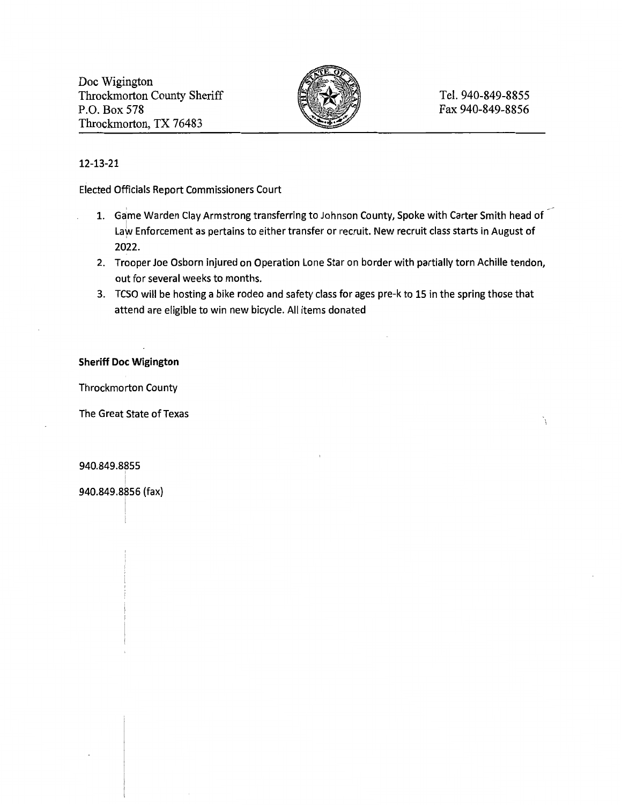Doc Wigington Throckmorton County Sheriff P.O. Box 578 Throckmorton, TX 76483



# 12-13-21

Elected Officials Report Commissioners Court

- 1. Game Warden Clay Armstrong transferring to Johnson County, Spoke with Carter Smith head of Law Enforcement as pertains to either transfer or recruit. New recruit class starts in August of 2022.
- 2. Trooper Joe Osborn injured on Operation Lone Star on border with partially torn Achille tendon, out for several weeks to months.
- 3. TCSO will be hosting a bike rodeo and safety class for ages pre-k to 15 in the spring those that attend are eligible to win new bicycle. All items donated

## **Sheriff Doc Wigington**

Throckmorton County

The Great State of Texas

## 940.849.8855 <sup>I</sup>

940.849.8856 (tax)

I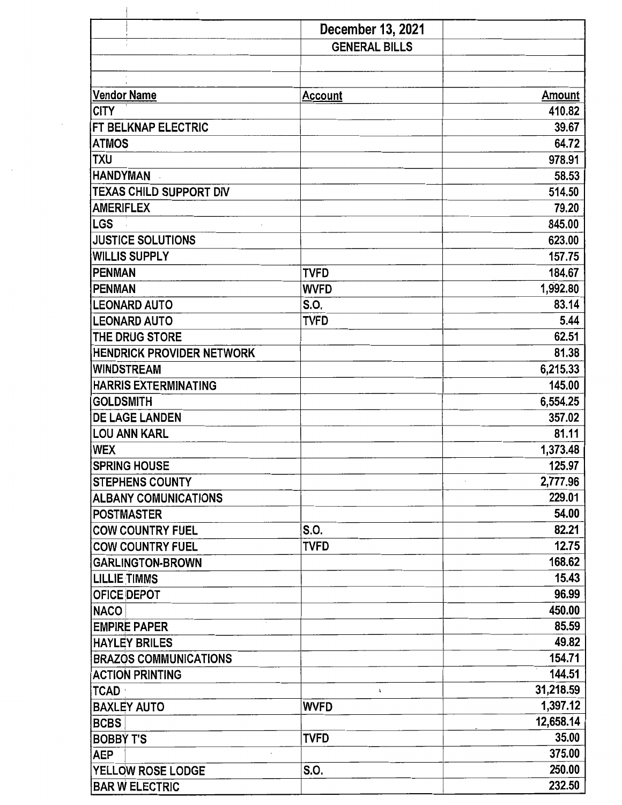|                                  | December 13, 2021    |               |
|----------------------------------|----------------------|---------------|
|                                  | <b>GENERAL BILLS</b> |               |
|                                  |                      |               |
| <b>Vendor Name</b>               | <b>Account</b>       | <b>Amount</b> |
| <b>CITY</b>                      |                      | 410.82        |
| FT BELKNAP ELECTRIC              |                      | 39.67         |
| <b>ATMOS</b>                     |                      | 64.72         |
| <b>TXU</b>                       |                      | 978.91        |
| <b>HANDYMAN</b>                  |                      | 58.53         |
| <b>TEXAS CHILD SUPPORT DIV</b>   |                      | 514.50        |
| <b>AMERIFLEX</b>                 |                      | 79.20         |
| <b>LGS</b>                       |                      | 845.00        |
| <b>JUSTICE SOLUTIONS</b>         |                      | 623.00        |
| <b>WILLIS SUPPLY</b>             |                      | 157.75        |
| <b>PENMAN</b>                    | <b>TVFD</b>          | 184.67        |
| <b>PENMAN</b>                    | <b>WVFD</b>          | 1,992.80      |
| <b>LEONARD AUTO</b>              | S.O.                 | 83.14         |
| <b>LEONARD AUTO</b>              | <b>TVFD</b>          | 5.44          |
| THE DRUG STORE                   |                      | 62.51         |
| <b>HENDRICK PROVIDER NETWORK</b> |                      | 81.38         |
| <b>WINDSTREAM</b>                |                      | 6,215.33      |
| <b>HARRIS EXTERMINATING</b>      |                      | 145.00        |
| <b>GOLDSMITH</b>                 |                      | 6,554.25      |
| <b>DE LAGE LANDEN</b>            |                      | 357.02        |
| <b>LOU ANN KARL</b>              |                      | 81.11         |
| <b>WEX</b>                       |                      | 1,373.48      |
| <b>SPRING HOUSE</b>              |                      | 125.97        |
| <b>STEPHENS COUNTY</b>           |                      | 2,777.96      |
| <b>ALBANY COMUNICATIONS</b>      |                      | 229.01        |
| <b>POSTMASTER</b>                |                      | 54.00         |
| <b>COW COUNTRY FUEL</b>          | S.O.                 | 82.21         |
| <b>COW COUNTRY FUEL</b>          | <b>TVFD</b>          | 12.75         |
| <b>GARLINGTON-BROWN</b>          |                      | 168.62        |
| <b>LILLIE TIMMS</b>              |                      | 15.43         |
| <b>OFICE DEPOT</b>               |                      | 96.99         |
| <b>NACO</b>                      |                      | 450.00        |
| <b>EMPIRE PAPER</b>              |                      | 85.59         |
| <b>HAYLEY BRILES</b>             |                      | 49.82         |
| <b>BRAZOS COMMUNICATIONS</b>     |                      | 154.71        |
| <b>ACTION PRINTING</b>           |                      | 144.51        |
| <b>TCAD</b>                      | ł.                   | 31,218.59     |
| <b>BAXLEY AUTO</b>               | <b>WVFD</b>          | 1,397.12      |
| <b>BCBS</b>                      |                      | 12,658.14     |
| <b>BOBBY T'S</b>                 | <b>TVFD</b>          | 35.00         |
| <b>AEP</b>                       |                      | 375.00        |
| YELLOW ROSE LODGE                | S.O.                 | 250.00        |
| <b>BAR W ELECTRIC</b>            |                      | 232.50        |

 $\mathcal{A}$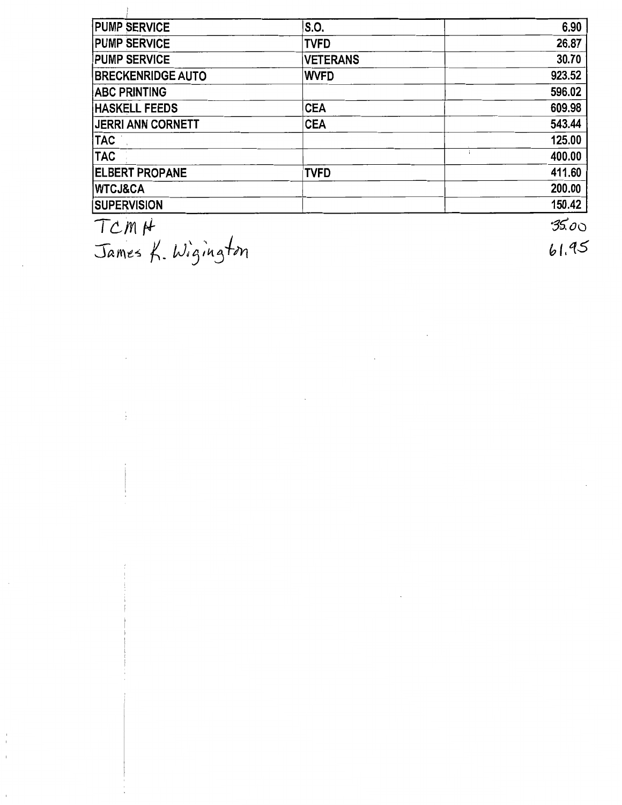| <b>PUMP SERVICE</b>      | S.O.            | 6.90   |
|--------------------------|-----------------|--------|
| <b>PUMP SERVICE</b>      | <b>TVFD</b>     | 26.87  |
| <b>PUMP SERVICE</b>      | <b>VETERANS</b> | 30.70  |
| <b>BRECKENRIDGE AUTO</b> | <b>WVFD</b>     | 923.52 |
| <b>ABC PRINTING</b>      |                 | 596.02 |
| <b>HASKELL FEEDS</b>     | <b>CEA</b>      | 609.98 |
| <b>JERRI ANN CORNETT</b> | <b>CEA</b>      | 543.44 |
| <b>TAC</b>               |                 | 125.00 |
| <b>TAC</b>               |                 | 400.00 |
| <b>ELBERT PROPANE</b>    | <b>TVFD</b>     | 411.60 |
| <b>IWTCJ&amp;CA</b>      |                 | 200.00 |
| <b>SUPERVISION</b>       |                 | 150.42 |
|                          |                 | مسرور. |

*Tc:m* ff

 $\overline{\phantom{a}}$ 

 $\frac{1}{4}$ 

James K. Wigington

 $35.00$ 61.95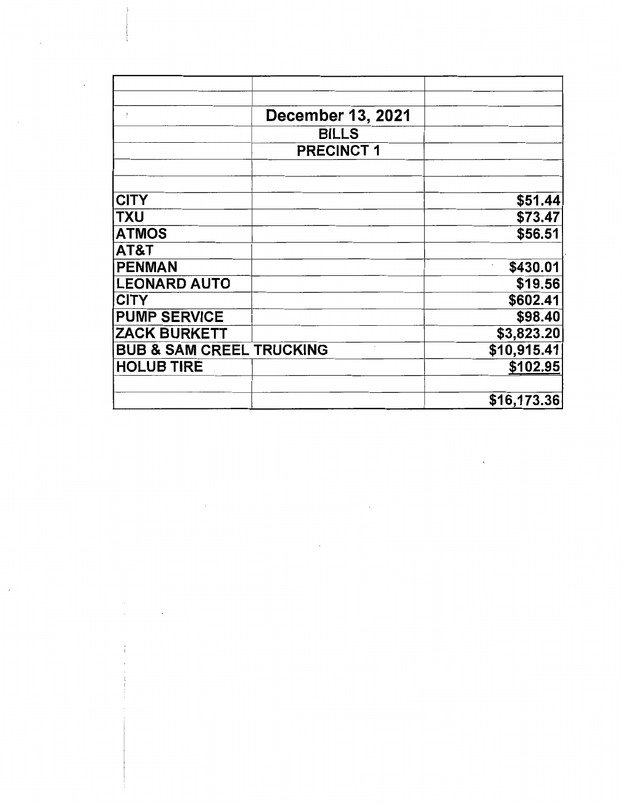| $\mathbf{I}$                        | <b>December 13, 2021</b> |              |
|-------------------------------------|--------------------------|--------------|
|                                     | <b>BILLS</b>             |              |
|                                     | <b>PRECINCT 1</b>        |              |
|                                     |                          |              |
|                                     |                          |              |
| <b>CITY</b>                         |                          | \$51.44      |
| <b>TXU</b>                          |                          | \$73.47      |
| <b>ATMOS</b>                        |                          | \$56.51      |
| AT&T                                |                          |              |
| <b>PENMAN</b>                       |                          | \$430.01     |
| <b>LEONARD AUTO</b>                 |                          | \$19.56      |
| <b>CITY</b>                         |                          | \$602.41     |
| <b>PUMP SERVICE</b>                 |                          | \$98.40      |
| <b>ZACK BURKETT</b>                 |                          | \$3,823.20   |
| <b>BUB &amp; SAM CREEL TRUCKING</b> |                          | \$10,915.41  |
| <b>HOLUB TIRE</b>                   |                          | \$102.95     |
|                                     |                          |              |
|                                     |                          | \$16, 173.36 |

 $\label{eq:2.1} \frac{1}{\sqrt{2}}\int_{0}^{\infty}\frac{1}{\sqrt{2\pi}}\left(\frac{1}{\sqrt{2\pi}}\right)^{2\alpha} \frac{1}{\sqrt{2\pi}}\int_{0}^{\infty}\frac{1}{\sqrt{2\pi}}\left(\frac{1}{\sqrt{2\pi}}\right)^{\alpha} \frac{1}{\sqrt{2\pi}}\frac{1}{\sqrt{2\pi}}\int_{0}^{\infty}\frac{1}{\sqrt{2\pi}}\frac{1}{\sqrt{2\pi}}\frac{1}{\sqrt{2\pi}}\frac{1}{\sqrt{2\pi}}\frac{1}{\sqrt{2\pi}}\frac{1}{\sqrt{2\pi}}$ 

 $\label{eq:2.1} \frac{1}{2} \int_{\mathbb{R}^3} \frac{1}{\sqrt{2}} \, \frac{1}{\sqrt{2}} \, \frac{1}{\sqrt{2}} \, \frac{1}{\sqrt{2}} \, \frac{1}{\sqrt{2}} \, \frac{1}{\sqrt{2}} \, \frac{1}{\sqrt{2}} \, \frac{1}{\sqrt{2}} \, \frac{1}{\sqrt{2}} \, \frac{1}{\sqrt{2}} \, \frac{1}{\sqrt{2}} \, \frac{1}{\sqrt{2}} \, \frac{1}{\sqrt{2}} \, \frac{1}{\sqrt{2}} \, \frac{1}{\sqrt{2}} \, \frac{1}{\sqrt{2}} \,$ 

 $\label{eq:2.1} \frac{1}{\sqrt{2}}\int_{\mathbb{R}^3} \frac{d\mu}{\sqrt{2}}\,d\mu\int_{\mathbb{R}^3} \frac{d\mu}{\sqrt{2}}\,d\mu\int_{\mathbb{R}^3} \frac{d\mu}{\sqrt{2}}\,d\mu\int_{\mathbb{R}^3} \frac{d\mu}{\sqrt{2}}\,d\mu\int_{\mathbb{R}^3} \frac{d\mu}{\sqrt{2}}\,d\mu\int_{\mathbb{R}^3} \frac{d\mu}{\sqrt{2}}\,d\mu\int_{\mathbb{R}^3} \frac{d\mu}{\sqrt{2}}\,d$ 

 $\label{eq:2.1} \frac{d\mathbf{r}}{d\mathbf{r}} = \frac{1}{2} \sum_{i=1}^n \frac{d\mathbf{r}}{d\mathbf{r}} \mathbf{r}_i \mathbf{r}_i \mathbf{r}_i \mathbf{r}_i \mathbf{r}_i \mathbf{r}_i$ 

 $\mathcal{L}^{\text{max}}_{\text{max}}$  and  $\mathcal{L}^{\text{max}}_{\text{max}}$ 

 $\hat{\mathcal{L}}$ 

 $\mathcal{L}^{\text{max}}$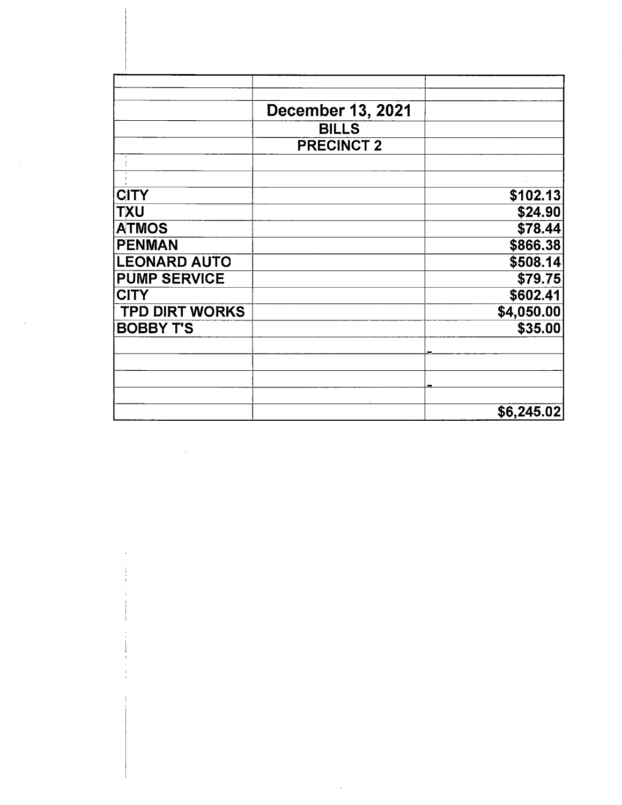|                       | <b>December 13, 2021</b> |            |
|-----------------------|--------------------------|------------|
|                       | <b>BILLS</b>             |            |
|                       | <b>PRECINCT 2</b>        |            |
|                       |                          |            |
|                       |                          |            |
| <b>CITY</b>           |                          | \$102.13   |
| <b>TXU</b>            |                          | \$24.90    |
| <b>ATMOS</b>          |                          | \$78.44    |
| <b>PENMAN</b>         |                          | \$866.38   |
| <b>LEONARD AUTO</b>   |                          | \$508.14   |
| <b>PUMP SERVICE</b>   |                          | \$79.75    |
| <b>CITY</b>           |                          | \$602.41   |
| <b>TPD DIRT WORKS</b> |                          | \$4,050.00 |
| <b>BOBBY T'S</b>      |                          | \$35.00    |
|                       |                          |            |
|                       |                          |            |
|                       |                          |            |
|                       |                          |            |
|                       |                          | \$6,245.02 |

 $\sim 10^{11}$ 

 $\mathcal{O}(\mathcal{E}_\mathbf{a}(\mathbf{a}^{\top})\mathbf{a}^{\top})$  .

 $\mathcal{L}^{\pm}$ 

 $\label{eq:2.1} \frac{1}{\sqrt{2}}\int_{\mathbb{R}^3}\frac{1}{\sqrt{2}}\left(\frac{1}{\sqrt{2}}\right)^2\frac{1}{\sqrt{2}}\left(\frac{1}{\sqrt{2}}\right)^2\frac{1}{\sqrt{2}}\left(\frac{1}{\sqrt{2}}\right)^2.$ 

 $\begin{array}{c} \begin{array}{c} \mathbf{i} \\ \mathbf{j} \end{array} \\ \begin{array}{c} \mathbf{i} \\ \mathbf{j} \end{array} \end{array}$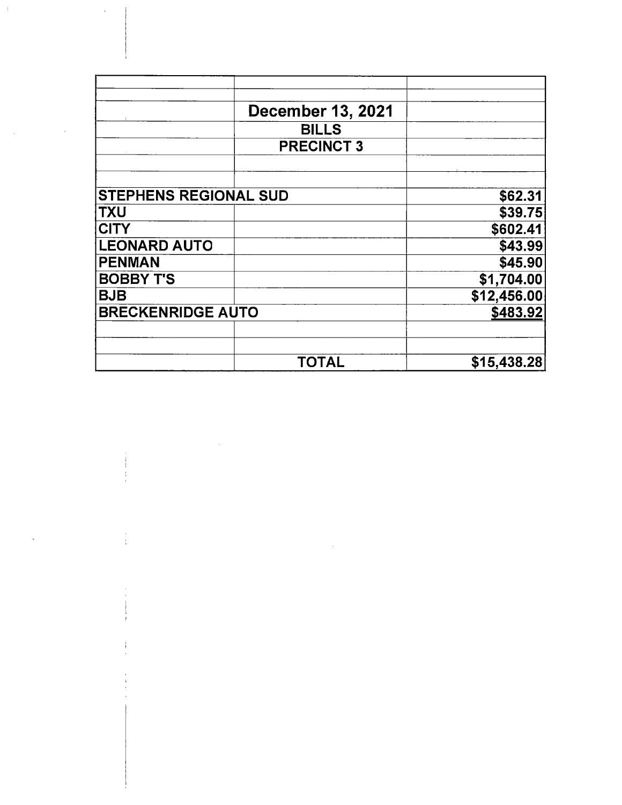|                              | <b>December 13, 2021</b> |             |
|------------------------------|--------------------------|-------------|
|                              | <b>BILLS</b>             |             |
|                              | <b>PRECINCT 3</b>        |             |
| <b>STEPHENS REGIONAL SUD</b> |                          |             |
| <b>TXU</b>                   |                          |             |
| <b>CITY</b>                  |                          |             |
| <b>LEONARD AUTO</b>          |                          |             |
| <b>PENMAN</b>                |                          |             |
| <b>BOBBY T'S</b>             |                          | \$1,704.00  |
| <b>BJB</b>                   |                          | \$12,456.00 |
| <b>BRECKENRIDGE AUTO</b>     |                          |             |
|                              | <b>TOTAL</b>             | \$15,438.28 |

 $\label{eq:2.1} \mathcal{L}(\mathcal{L}^{\mathcal{L}}_{\mathcal{L}}(\mathcal{L}^{\mathcal{L}}_{\mathcal{L}})) \leq \mathcal{L}(\mathcal{L}^{\mathcal{L}}_{\mathcal{L}}(\mathcal{L}^{\mathcal{L}}_{\mathcal{L}})) \leq \mathcal{L}(\mathcal{L}^{\mathcal{L}}_{\mathcal{L}}(\mathcal{L}^{\mathcal{L}}_{\mathcal{L}}))$ 

 $\label{eq:2.1} \frac{1}{\sqrt{2}}\int_{\mathbb{R}^3}\frac{1}{\sqrt{2}}\left(\frac{1}{\sqrt{2}}\int_{\mathbb{R}^3}\frac{1}{\sqrt{2}}\left(\frac{1}{\sqrt{2}}\int_{\mathbb{R}^3}\frac{1}{\sqrt{2}}\left(\frac{1}{\sqrt{2}}\int_{\mathbb{R}^3}\frac{1}{\sqrt{2}}\right)\frac{1}{\sqrt{2}}\right)\frac{1}{\sqrt{2}}\right)=\frac{1}{2}\int_{\mathbb{R}^3}\frac{1}{\sqrt{2}}\int_{\mathbb{R}^3}\frac{1}{\sqrt{2}}\left(\frac{1$ 

 $\begin{array}{c} \begin{array}{c} \uparrow \\ \downarrow \end{array} \\ \begin{array}{c} \downarrow \\ \downarrow \end{array} \end{array}$ 

 $\label{eq:2} \frac{1}{2} \int_{\mathbb{R}^3} \frac{1}{\sqrt{2}} \, \mathrm{d} \mu \, \mathrm{d} \mu \, \mathrm{d} \mu \, \mathrm{d} \mu \, \mathrm{d} \mu \, \mathrm{d} \mu \, \mathrm{d} \mu \, \mathrm{d} \mu \, \mathrm{d} \mu \, \mathrm{d} \mu \, \mathrm{d} \mu \, \mathrm{d} \mu \, \mathrm{d} \mu \, \mathrm{d} \mu \, \mathrm{d} \mu \, \mathrm{d} \mu \, \mathrm{d} \mu \, \mathrm{d} \mu \, \mathrm{d} \mu \, \mathrm{d} \mu \, \mathrm$ 

 $\hat{\mathcal{A}}$ 

 $\mathcal{L}_{\text{max}}$